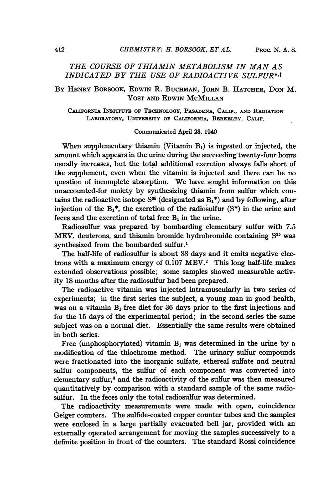# THE COURSE OF THIAMIN METABOLISM IN MAN AS INDICATED BY THE USE OF RADIOACTIVE SULFUR\*,t

# BY HENRY BORSOOK, EDWIN R. BuCHMAN, JoHN B. HATCHER, DON M. YOST AND EDWIN MCMILLAN

CALIFORNIA INSTITUTE OF TECHNOLOGY, PASADENA, CALIF., AND RADIATION LABORATORY, UNIVERSITY OF CALIFORNIA, BERKELEY, CALIF.

### Communicated April 23, 1940

When supplementary thiamin (Vitamin  $B_1$ ) is ingested or injected, the amount which appears in the urine during the succeeding twenty-four hours usually increases, but the total additional excretion always falls short of the supplement, even when the vitamin is injected and there can be no question of incomplete absorption. We have sought information on this unaccounted-for moiety by synthesizing thiamin from sulfur which contains the radioactive isotope  $S^{35}$  (designated as  $B_1^*$ ) and by following, after injection of the  $B_1^*$ , the excretion of the radiosulfur  $(S^*)$  in the urine and feces and the excretion of total free  $B_1$  in the urine.

Radiosulfur was prepared by bombarding elementary sulfur with 7.5 MEV. deuterons, and thiamin bromide hydrobromide containing S<sup>35</sup> was synthesized from the bombarded sulfur.'

The half-life of radiosulfur is about 88 days and it emits negative electrons with a maximum energy of o.io7 MEV.2 This long half-life makes extended observations possible; some samples showed measurable activity 18 months after the radiosulfur had been prepared.

The radioactive vitamin was injected intramuscularly in two series of experiments; in the first series the subject, a young man in good health, was on a vitamin Br-free diet for 36 days prior to the first injections and for the 15 days of the experimental period; in the second series the same subject was on a normal diet. Essentially the same results were obtained in both series.

Free (unphosphorylated) vitamin  $B_1$  was determined in the urine by a modification of the thiochrome method. The urinary sulfur compounds were fractionated into the inorganic sulfate, ethereal sulfate and neutral sulfur components, the sulfur of each component was converted into elementary sulfur,<sup>3</sup> and the radioactivity of the sulfur was then measured quantitatively by comparison with a standard sample of the same radiosulfur. In the feces only the total radiosulfur was determined.

The radioactivity measurements were made with open, coincidence Geiger counters. The sulfide-coated copper counter tubes and the samples were enclosed in a large partially evacuated bell jar, provided with an externally operated arrangement for moving the samples successively to a definite position in front of the counters. The standard Rossi coincidence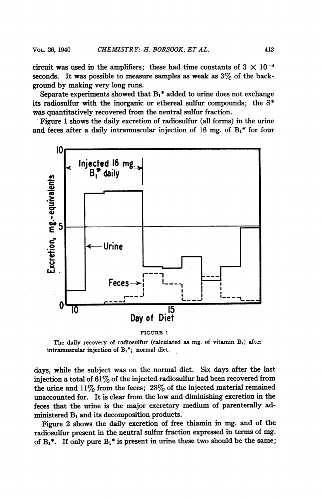circuit was used in the amplifiers; these had time constants of  $3 \times 10^{-4}$ seconds. It was possible to measure samples as weak as  $3\%$  of the background by making very long runs.

Separate experiments showed that  $B_1$ <sup>\*</sup> added to urine does not exchange its radiosulfur with the inorganic or ethereal sulfur compounds; the S\* was quantitatively recovered from the neutral sulfur fraction.

Figure 1 shows the daily excretion of radiosulfur (all forms) in the urine and feces after a daily intramuscular injection of 16 mg. of  $B_1$ <sup>\*</sup> for four



#### FIGURE <sup>1</sup>

The daily recovery of radiosulfur (calculated as mg. of vitamin  $B_1$ ) after intramuscular injection of  $B_1^*$ ; normal diet.

days, while the subject was on the normal diet. Six days after the last injection a total of  $61\%$  of the injected radiosulfur had been recovered from the urine and  $11\%$  from the feces;  $28\%$  of the injected material remained unaccounted for. It is clear from the low and diminishing excretion in the feces that the urine is the major excretory medium of parenterally administered  $B_1$  and its decomposition products.

Figure 2 shows the daily excretion of free thiamin in mg. and of the radiosulfur present in the neutral sulfur fraction expressed in terms of mg. of  $B_1^*$ . If only pure  $B_1^*$  is present in urine these two should be the same;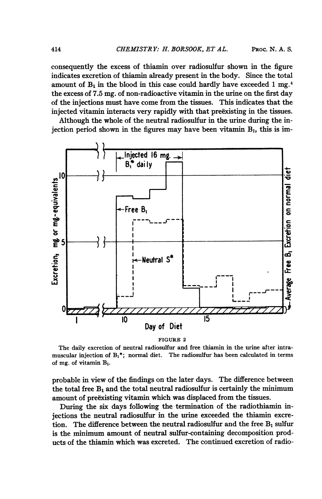consequently the excess of thiamin over radiosulfur shown in the figure indicates excretion of thiamin already present in the body. Since the total amount of  $B_1$  in the blood in this case could hardly have exceeded 1 mg.<sup>4</sup> the excess of 7.5 mg. of non-radioactive vitamin in the urine on the first day of the injections must have come from the tissues. This indicates that the injected vitamin interacts very rapidly with that preëxisting in the tissues.

Although the whole of the neutral radiosulfur in the urine during the injection period shown in the figures may have been vitamin  $B_1$ , this is im-



FIGURE <sup>2</sup>

The daily excretion of neutral radiosulfur and free thiamin in the urine after intramuscular injection of  $B_1^*$ ; normal diet. The radiosulfur has been calculated in terms of mg. of vitamin B1.

probable in view of the findings on the later days. The difference between the total free  $B_1$  and the total neutral radiosulfur is certainly the minimum amount of preëxisting vitamin which was displaced from the tissues.

During the six days following the termination of the radiothiamin injections the neutral radiosulfur in the urine exceeded the thiamin excretion. The difference between the neutral radiosulfur and the free  $B_1$  sulfur is the minimum amount of neutral sulfur-containing decomposition products of the thiamin which was excreted. The continued excretion of radio-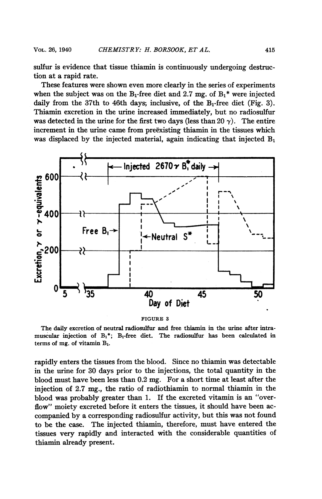sulfur is evidence that tissue thiamin is continuously undergoing destruction at a rapid rate.

These features were shown even more clearly in the series of experiments when the subject was on the B<sub>1</sub>-free diet and 2.7 mg. of  $B_1$ <sup>\*</sup> were injected daily from the 37th to 46th days, inclusive, of the  $B_1$ -free diet (Fig. 3). Thiamin excretion in the urine increased immediately, but no radiosulfur was detected in the urine for the first two days (less than 20  $\gamma$ ). The entire increment in the urine came from preëxisting thiamin in the tissues which was displaced by the injected material, again indicating that injected  $B_1$ 



FIGURE <sup>3</sup>

The daily excretion of neutral radiosulfur and free thiamin in the urine after intramuscular injection of  $B_1^*$ ;  $B_1$ -free diet. The radiosulfur has been calculated in terms of mg. of vitamin  $B_1$ .

rapidly enters the tissues from the blood. Since no thiamin was detectable in the urine for 30 days prior to the injections, the total quantity in the blood must have been less than 0.2 mg. For a short time at least after the injection of 2.7 mg., the ratio of radiothiamin to normal thiamin in the blood was probably greater than 1. If the excreted vitamin is an "overflow" moiety excreted before it enters the tissues, it should have been accompanied by a corresponding radiosulfur activity, but this was not found to be the case. The injected thiamin, therefore, must have entered the tissues very rapidly and interacted with the considerable quantities of thiamin already present.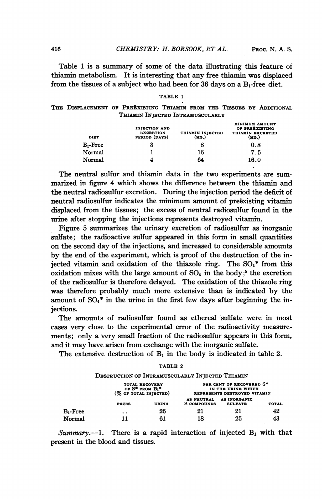Table <sup>1</sup> is a summary of some of the data illustrating this feature of thiamin metabolism. It is interesting that any free thiamin was displaced from the tissues of a subject who had been for 36 days on a  $B_1$ -free diet.

#### TABLE <sup>1</sup>

THE DISPLACEMENT OF PREËXISTING THIAMIN FROM THE TISSUES BY ADDITIONAL THIAMIN INJECTED INTRAMUSCULARLY

| <b>DIET</b> | <b>INJECTION AND</b><br><b>EXCRETION</b><br>PERIOD (DAYS) | THIAMIN INJECTED<br>(MG.) | <b>MINIMUM AMOUNT</b><br>OF PREEXISTING<br>THIAMIN EXCRETED<br>(MG.) |
|-------------|-----------------------------------------------------------|---------------------------|----------------------------------------------------------------------|
| $B_1$ -Free | 3                                                         | 8                         | 0.8                                                                  |
| Normal      |                                                           | 16                        | 7.5                                                                  |
| Normal      | $\overline{\phantom{a}}$                                  | 64                        | 16.0                                                                 |

The neutral sulfur and thiamin data in the two experiments are summarized in figure 4 which shows the difference between the thiamin and the neutral radiosulfur excretion. During the injection period the deficit of neutral radiosulfur indicates the minimum amount of preexisting vitamin displaced from the tissues; the excess of neutral radiosulfur found in the urine after stopping the injections represents destroyed vitamin.

Figure 5 summarizes the urinary excretion of radiosulfur as inorganic sulfate; the radioactive sulfur appeared in this form in small quantities on the second day of the injections, and increased to considerable amounts by the end of the experiment, which is proof of the destruction of the injected vitamin and oxidation of the thiazole ring. The S04\* from this oxidation mixes with the large amount of  $SO_4$  in the body;<sup>5</sup> the excretion of the radiosulfur is therefore delayed. The oxidation of the thiazole ring was therefore probably much more extensive than is indicated by the amount of  $SO_4$ <sup>\*</sup> in the urine in the first few days after beginning the injections.

The amounts of radiosulfur found as ethereal sulfate were in most cases very close to the experimental error of the radioactivity measurements; only a very small fraction of the radiosulfur appears in this form, and it may have arisen from exchange with the inorganic sulfate.

The extensive destruction of  $B_1$  in the body is indicated in table 2. TABLE 2

|              | TOTAL RECOVERY<br>OF $S^*$ FROM $Bi^*$<br>(% OF TOTAL INIBCTED) |                                  | PER CENT OF RECOVERED S*<br>IN THE URINE WHICH<br>REPRESENTS DESTROYED VITAMIN |                                                 |  |
|--------------|-----------------------------------------------------------------|----------------------------------|--------------------------------------------------------------------------------|-------------------------------------------------|--|
| <b>FECES</b> | <b>URINE</b>                                                    | AS NEUTRAL<br><b>S</b> COMPOUNDS | <b>AS INORGANIC</b><br><b>SULFATE</b>                                          | <b>TOTAL</b>                                    |  |
| $\cdot$ .    | 26                                                              | 21                               | 21                                                                             | 42                                              |  |
| 11           | 61                                                              | 18                               | 25                                                                             | 43                                              |  |
|              |                                                                 |                                  |                                                                                | DESTRUCTION OF INTRAMUSCULARLY INJECTED THIAMIN |  |

Summary.--1. There is a rapid interaction of injected  $B_1$  with that present in the blood and tissues.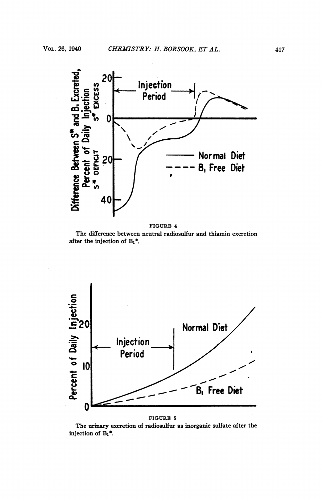

FIGURE 4





FIGURE 5

The urinary excretion of radiosulfur as inorganic sulfate after the injection of  $B_1^*$ .